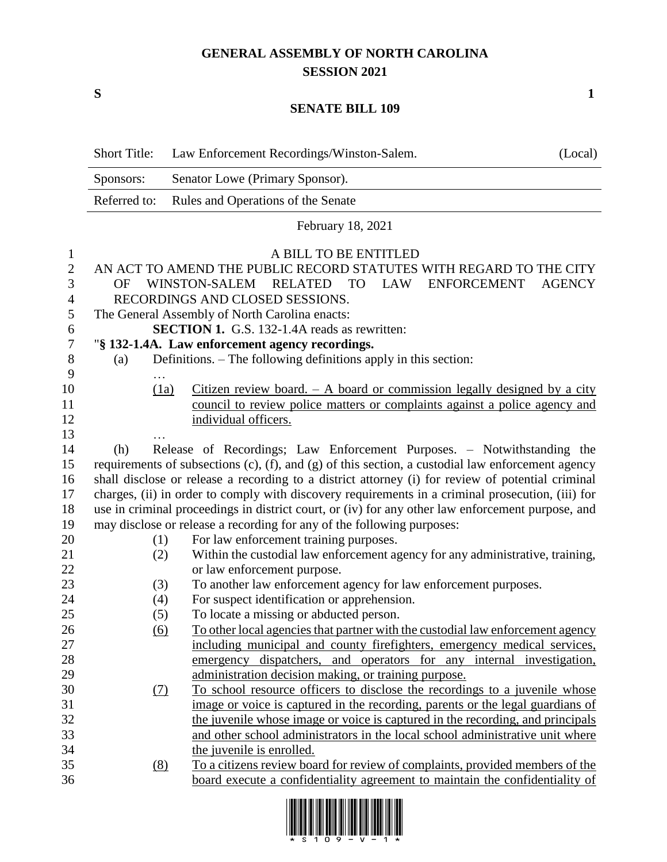## **GENERAL ASSEMBLY OF NORTH CAROLINA SESSION 2021**

**S 1**

## **SENATE BILL 109**

|                  | <b>Short Title:</b>                                                                               | Law Enforcement Recordings/Winston-Salem.<br>(Local)                           |  |  |  |
|------------------|---------------------------------------------------------------------------------------------------|--------------------------------------------------------------------------------|--|--|--|
|                  | Sponsors:                                                                                         | Senator Lowe (Primary Sponsor).                                                |  |  |  |
|                  | Referred to:                                                                                      | Rules and Operations of the Senate                                             |  |  |  |
|                  |                                                                                                   | February 18, 2021                                                              |  |  |  |
| $\mathbf{l}$     |                                                                                                   | A BILL TO BE ENTITLED                                                          |  |  |  |
| $\mathbf{2}$     |                                                                                                   | AN ACT TO AMEND THE PUBLIC RECORD STATUTES WITH REGARD TO THE CITY             |  |  |  |
| 3                | WINSTON-SALEM RELATED<br><b>LAW</b><br><b>ENFORCEMENT</b><br><b>AGENCY</b><br><b>TO</b><br>OF     |                                                                                |  |  |  |
| 4                | RECORDINGS AND CLOSED SESSIONS.                                                                   |                                                                                |  |  |  |
| $\mathfrak s$    | The General Assembly of North Carolina enacts:                                                    |                                                                                |  |  |  |
| 6                | SECTION 1. G.S. 132-1.4A reads as rewritten:                                                      |                                                                                |  |  |  |
| $\boldsymbol{7}$ | "§ 132-1.4A. Law enforcement agency recordings.                                                   |                                                                                |  |  |  |
| $8\,$            | (a)                                                                                               | Definitions. – The following definitions apply in this section:                |  |  |  |
| 9                |                                                                                                   |                                                                                |  |  |  |
| 10               | (1a)                                                                                              | Citizen review board. $-$ A board or commission legally designed by a city     |  |  |  |
| 11               |                                                                                                   | council to review police matters or complaints against a police agency and     |  |  |  |
| 12               |                                                                                                   | individual officers.                                                           |  |  |  |
| 13               |                                                                                                   |                                                                                |  |  |  |
| 14               | (h)                                                                                               | Release of Recordings; Law Enforcement Purposes. - Notwithstanding the         |  |  |  |
| 15               | requirements of subsections (c), (f), and (g) of this section, a custodial law enforcement agency |                                                                                |  |  |  |
| 16               | shall disclose or release a recording to a district attorney (i) for review of potential criminal |                                                                                |  |  |  |
| 17               | charges, (ii) in order to comply with discovery requirements in a criminal prosecution, (iii) for |                                                                                |  |  |  |
| 18               | use in criminal proceedings in district court, or (iv) for any other law enforcement purpose, and |                                                                                |  |  |  |
| 19               | may disclose or release a recording for any of the following purposes:                            |                                                                                |  |  |  |
| 20               | (1)                                                                                               | For law enforcement training purposes.                                         |  |  |  |
| 21               | (2)                                                                                               | Within the custodial law enforcement agency for any administrative, training,  |  |  |  |
| 22               |                                                                                                   | or law enforcement purpose.                                                    |  |  |  |
| 23               | (3)                                                                                               | To another law enforcement agency for law enforcement purposes.                |  |  |  |
| 24               | (4)                                                                                               | For suspect identification or apprehension.                                    |  |  |  |
| 25               | (5)                                                                                               | To locate a missing or abducted person.                                        |  |  |  |
| $26\,$           | (6)                                                                                               | To other local agencies that partner with the custodial law enforcement agency |  |  |  |
| 27               |                                                                                                   | including municipal and county firefighters, emergency medical services,       |  |  |  |
| 28               |                                                                                                   | emergency dispatchers, and operators for any internal investigation,           |  |  |  |
| 29               |                                                                                                   | administration decision making, or training purpose.                           |  |  |  |
| 30               | <u>(7)</u>                                                                                        | To school resource officers to disclose the recordings to a juvenile whose     |  |  |  |
| 31               |                                                                                                   | image or voice is captured in the recording, parents or the legal guardians of |  |  |  |
| 32               |                                                                                                   | the juvenile whose image or voice is captured in the recording, and principals |  |  |  |
| 33               |                                                                                                   | and other school administrators in the local school administrative unit where  |  |  |  |
| 34               |                                                                                                   | the juvenile is enrolled.                                                      |  |  |  |
| 35               | (8)                                                                                               | To a citizens review board for review of complaints, provided members of the   |  |  |  |
| 36               |                                                                                                   | board execute a confidentiality agreement to maintain the confidentiality of   |  |  |  |